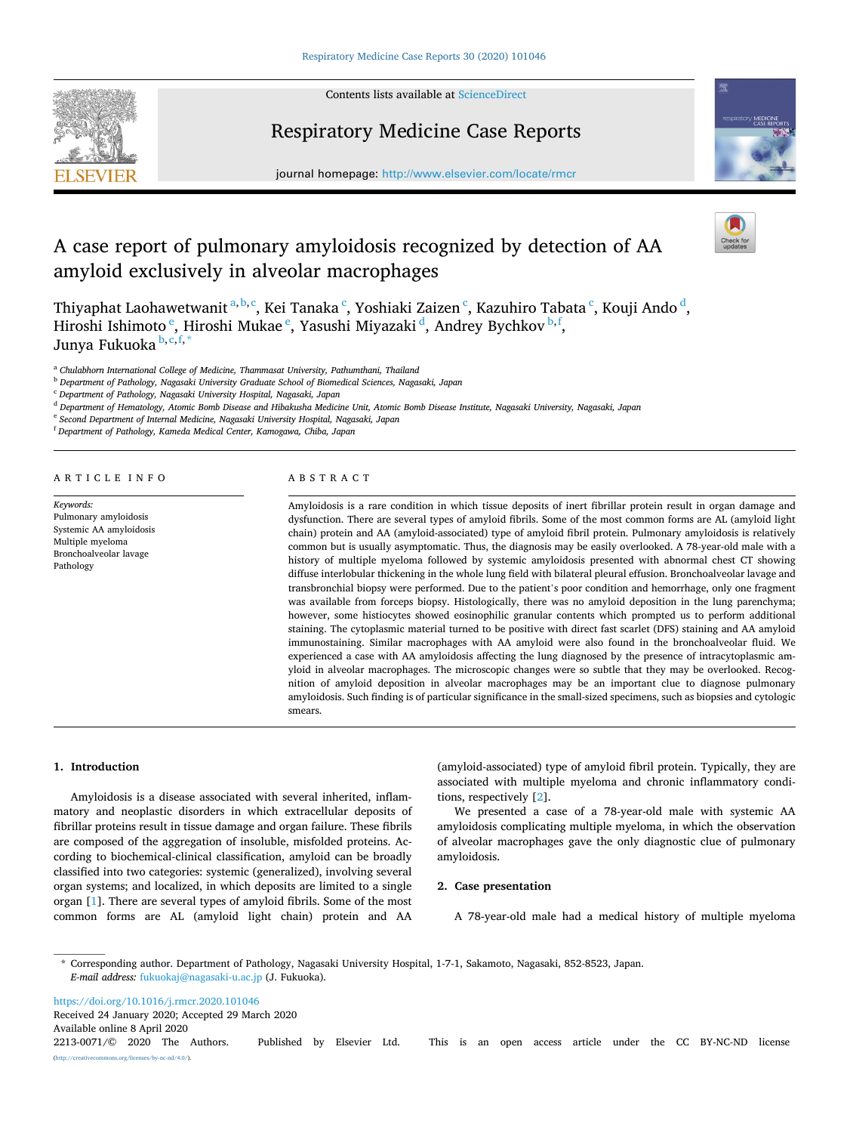

Contents lists available at [ScienceDirect](www.sciencedirect.com/science/journal/22130071)

# Respiratory Medicine Case Reports





# A case report of pulmonary amyloidosis recognized by detection of AA amyloid exclusively in alveolar macrophages



Thiyaphat Laohawetwanit <sup>a,b,c</sup>, Kei Tanaka <sup>c</sup>, Yoshiaki Zaizen <sup>c</sup>, Kazuhiro Tabata <sup>c</sup>, Kouji Ando <sup>d</sup>, Hiroshi Ishimoto $\mathrm{^e,~Hiroshi~Mukae}^{\mathrm{e,~Yasushi~Miyazaki}^{\mathrm{d,~Andrey~Bychkov}^{\mathrm{b,f,~}}}$ Junya Fukuoka **b**, c, f, \*

<sup>a</sup> *Chulabhorn International College of Medicine, Thammasat University, Pathumthani, Thailand* 

<sup>b</sup> *Department of Pathology, Nagasaki University Graduate School of Biomedical Sciences, Nagasaki, Japan* 

<sup>d</sup> *Department of Hematology, Atomic Bomb Disease and Hibakusha Medicine Unit, Atomic Bomb Disease Institute, Nagasaki University, Nagasaki, Japan* 

<sup>e</sup> *Second Department of Internal Medicine, Nagasaki University Hospital, Nagasaki, Japan* 

<sup>f</sup> *Department of Pathology, Kameda Medical Center, Kamogawa, Chiba, Japan* 

ARTICLE INFO

#### ABSTRACT

*Keywords:*  Pulmonary amyloidosis Systemic AA amyloidosis Multiple myeloma Bronchoalveolar lavage Pathology

Amyloidosis is a rare condition in which tissue deposits of inert fibrillar protein result in organ damage and dysfunction. There are several types of amyloid fibrils. Some of the most common forms are AL (amyloid light chain) protein and AA (amyloid-associated) type of amyloid fibril protein. Pulmonary amyloidosis is relatively common but is usually asymptomatic. Thus, the diagnosis may be easily overlooked. A 78-year-old male with a history of multiple myeloma followed by systemic amyloidosis presented with abnormal chest CT showing diffuse interlobular thickening in the whole lung field with bilateral pleural effusion. Bronchoalveolar lavage and transbronchial biopsy were performed. Due to the patient's poor condition and hemorrhage, only one fragment was available from forceps biopsy. Histologically, there was no amyloid deposition in the lung parenchyma; however, some histiocytes showed eosinophilic granular contents which prompted us to perform additional staining. The cytoplasmic material turned to be positive with direct fast scarlet (DFS) staining and AA amyloid immunostaining. Similar macrophages with AA amyloid were also found in the bronchoalveolar fluid. We experienced a case with AA amyloidosis affecting the lung diagnosed by the presence of intracytoplasmic amyloid in alveolar macrophages. The microscopic changes were so subtle that they may be overlooked. Recognition of amyloid deposition in alveolar macrophages may be an important clue to diagnose pulmonary amyloidosis. Such finding is of particular significance in the small-sized specimens, such as biopsies and cytologic smears.

## **1. Introduction**

Amyloidosis is a disease associated with several inherited, inflammatory and neoplastic disorders in which extracellular deposits of fibrillar proteins result in tissue damage and organ failure. These fibrils are composed of the aggregation of insoluble, misfolded proteins. According to biochemical-clinical classification, amyloid can be broadly classified into two categories: systemic (generalized), involving several organ systems; and localized, in which deposits are limited to a single organ [[1](#page-3-0)]. There are several types of amyloid fibrils. Some of the most common forms are AL (amyloid light chain) protein and AA (amyloid-associated) type of amyloid fibril protein. Typically, they are associated with multiple myeloma and chronic inflammatory conditions, respectively [\[2\]](#page-3-0).

We presented a case of a 78-year-old male with systemic AA amyloidosis complicating multiple myeloma, in which the observation of alveolar macrophages gave the only diagnostic clue of pulmonary amyloidosis.

### **2. Case presentation**

A 78-year-old male had a medical history of multiple myeloma

\* Corresponding author. Department of Pathology, Nagasaki University Hospital, 1-7-1, Sakamoto, Nagasaki, 852-8523, Japan. *E-mail address:* [fukuokaj@nagasaki-u.ac.jp](mailto:fukuokaj@nagasaki-u.ac.jp) (J. Fukuoka).

Available online 8 April 2020 <https://doi.org/10.1016/j.rmcr.2020.101046> Received 24 January 2020; Accepted 29 March 2020

2213-0071/© 2020 The Authors. Published by Elsevier Ltd. This is an open access article under the CC BY-NC-ND license [\(http://creativecommons.org/licenses/by-nc-nd/4.0/\)](http://creativecommons.org/licenses/by-nc-nd/4.0/).

<sup>c</sup> *Department of Pathology, Nagasaki University Hospital, Nagasaki, Japan*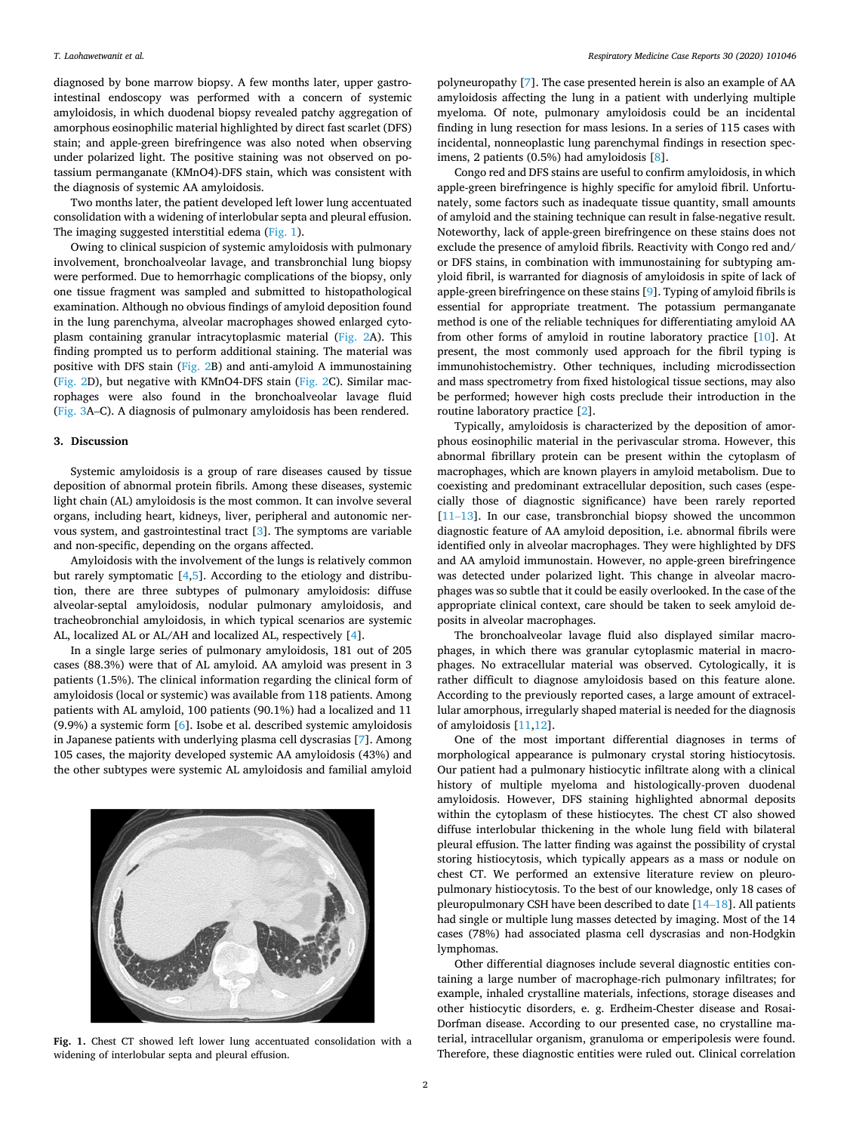diagnosed by bone marrow biopsy. A few months later, upper gastrointestinal endoscopy was performed with a concern of systemic amyloidosis, in which duodenal biopsy revealed patchy aggregation of amorphous eosinophilic material highlighted by direct fast scarlet (DFS) stain; and apple-green birefringence was also noted when observing under polarized light. The positive staining was not observed on potassium permanganate (KMnO4)-DFS stain, which was consistent with the diagnosis of systemic AA amyloidosis.

Two months later, the patient developed left lower lung accentuated consolidation with a widening of interlobular septa and pleural effusion. The imaging suggested interstitial edema (Fig. 1).

Owing to clinical suspicion of systemic amyloidosis with pulmonary involvement, bronchoalveolar lavage, and transbronchial lung biopsy were performed. Due to hemorrhagic complications of the biopsy, only one tissue fragment was sampled and submitted to histopathological examination. Although no obvious findings of amyloid deposition found in the lung parenchyma, alveolar macrophages showed enlarged cytoplasm containing granular intracytoplasmic material [\(Fig. 2](#page-2-0)A). This finding prompted us to perform additional staining. The material was positive with DFS stain [\(Fig. 2B](#page-2-0)) and anti-amyloid A immunostaining ([Fig. 2](#page-2-0)D), but negative with KMnO4-DFS stain ([Fig. 2](#page-2-0)C). Similar macrophages were also found in the bronchoalveolar lavage fluid ([Fig. 3A](#page-2-0)–C). A diagnosis of pulmonary amyloidosis has been rendered.

#### **3. Discussion**

Systemic amyloidosis is a group of rare diseases caused by tissue deposition of abnormal protein fibrils. Among these diseases, systemic light chain (AL) amyloidosis is the most common. It can involve several organs, including heart, kidneys, liver, peripheral and autonomic nervous system, and gastrointestinal tract [[3](#page-3-0)]. The symptoms are variable and non-specific, depending on the organs affected.

Amyloidosis with the involvement of the lungs is relatively common but rarely symptomatic [[4](#page-3-0),[5](#page-3-0)]. According to the etiology and distribution, there are three subtypes of pulmonary amyloidosis: diffuse alveolar-septal amyloidosis, nodular pulmonary amyloidosis, and tracheobronchial amyloidosis, in which typical scenarios are systemic AL, localized AL or AL/AH and localized AL, respectively [[4](#page-3-0)].

In a single large series of pulmonary amyloidosis, 181 out of 205 cases (88.3%) were that of AL amyloid. AA amyloid was present in 3 patients (1.5%). The clinical information regarding the clinical form of amyloidosis (local or systemic) was available from 118 patients. Among patients with AL amyloid, 100 patients (90.1%) had a localized and 11 (9.9%) a systemic form [\[6\]](#page-3-0). Isobe et al. described systemic amyloidosis in Japanese patients with underlying plasma cell dyscrasias [\[7\]](#page-3-0). Among 105 cases, the majority developed systemic AA amyloidosis (43%) and the other subtypes were systemic AL amyloidosis and familial amyloid



**Fig. 1.** Chest CT showed left lower lung accentuated consolidation with a widening of interlobular septa and pleural effusion.

polyneuropathy [[7](#page-3-0)]. The case presented herein is also an example of AA amyloidosis affecting the lung in a patient with underlying multiple myeloma. Of note, pulmonary amyloidosis could be an incidental finding in lung resection for mass lesions. In a series of 115 cases with incidental, nonneoplastic lung parenchymal findings in resection specimens, 2 patients (0.5%) had amyloidosis [[8](#page-3-0)].

Congo red and DFS stains are useful to confirm amyloidosis, in which apple-green birefringence is highly specific for amyloid fibril. Unfortunately, some factors such as inadequate tissue quantity, small amounts of amyloid and the staining technique can result in false-negative result. Noteworthy, lack of apple-green birefringence on these stains does not exclude the presence of amyloid fibrils. Reactivity with Congo red and/ or DFS stains, in combination with immunostaining for subtyping amyloid fibril, is warranted for diagnosis of amyloidosis in spite of lack of apple-green birefringence on these stains [\[9\]](#page-3-0). Typing of amyloid fibrils is essential for appropriate treatment. The potassium permanganate method is one of the reliable techniques for differentiating amyloid AA from other forms of amyloid in routine laboratory practice [\[10](#page-3-0)]. At present, the most commonly used approach for the fibril typing is immunohistochemistry. Other techniques, including microdissection and mass spectrometry from fixed histological tissue sections, may also be performed; however high costs preclude their introduction in the routine laboratory practice [[2](#page-3-0)].

Typically, amyloidosis is characterized by the deposition of amorphous eosinophilic material in the perivascular stroma. However, this abnormal fibrillary protein can be present within the cytoplasm of macrophages, which are known players in amyloid metabolism. Due to coexisting and predominant extracellular deposition, such cases (especially those of diagnostic significance) have been rarely reported  $[11–13]$  $[11–13]$ . In our case, transbronchial biopsy showed the uncommon diagnostic feature of AA amyloid deposition, i.e. abnormal fibrils were identified only in alveolar macrophages. They were highlighted by DFS and AA amyloid immunostain. However, no apple-green birefringence was detected under polarized light. This change in alveolar macrophages was so subtle that it could be easily overlooked. In the case of the appropriate clinical context, care should be taken to seek amyloid deposits in alveolar macrophages.

The bronchoalveolar lavage fluid also displayed similar macrophages, in which there was granular cytoplasmic material in macrophages. No extracellular material was observed. Cytologically, it is rather difficult to diagnose amyloidosis based on this feature alone. According to the previously reported cases, a large amount of extracellular amorphous, irregularly shaped material is needed for the diagnosis of amyloidosis [\[11](#page-3-0),[12\]](#page-3-0).

One of the most important differential diagnoses in terms of morphological appearance is pulmonary crystal storing histiocytosis. Our patient had a pulmonary histiocytic infiltrate along with a clinical history of multiple myeloma and histologically-proven duodenal amyloidosis. However, DFS staining highlighted abnormal deposits within the cytoplasm of these histiocytes. The chest CT also showed diffuse interlobular thickening in the whole lung field with bilateral pleural effusion. The latter finding was against the possibility of crystal storing histiocytosis, which typically appears as a mass or nodule on chest CT. We performed an extensive literature review on pleuropulmonary histiocytosis. To the best of our knowledge, only 18 cases of pleuropulmonary CSH have been described to date [\[14](#page-3-0)–18]. All patients had single or multiple lung masses detected by imaging. Most of the 14 cases (78%) had associated plasma cell dyscrasias and non-Hodgkin lymphomas.

Other differential diagnoses include several diagnostic entities containing a large number of macrophage-rich pulmonary infiltrates; for example, inhaled crystalline materials, infections, storage diseases and other histiocytic disorders, e. g. Erdheim-Chester disease and Rosai-Dorfman disease. According to our presented case, no crystalline material, intracellular organism, granuloma or emperipolesis were found. Therefore, these diagnostic entities were ruled out. Clinical correlation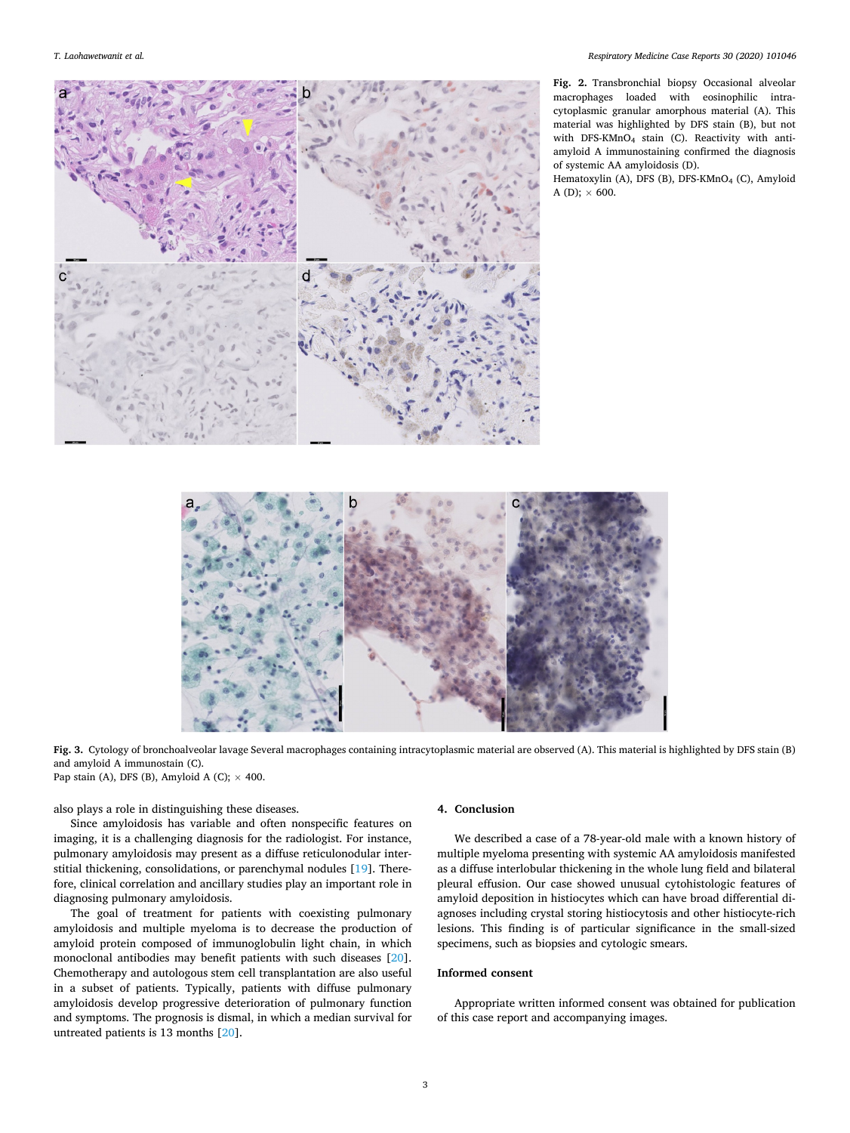<span id="page-2-0"></span>

**Fig. 2.** Transbronchial biopsy Occasional alveolar macrophages loaded with eosinophilic intracytoplasmic granular amorphous material (A). This material was highlighted by DFS stain (B), but not with DFS-KMnO4 stain (C). Reactivity with antiamyloid A immunostaining confirmed the diagnosis of systemic AA amyloidosis (D).

Hematoxylin (A), DFS (B), DFS-KMnO<sub>4</sub> (C), Amyloid A (D);  $\times$  600.



**Fig. 3.** Cytology of bronchoalveolar lavage Several macrophages containing intracytoplasmic material are observed (A). This material is highlighted by DFS stain (B) and amyloid A immunostain (C). Pap stain (A), DFS (B), Amyloid A (C);  $\times$  400.

also plays a role in distinguishing these diseases.

Since amyloidosis has variable and often nonspecific features on imaging, it is a challenging diagnosis for the radiologist. For instance, pulmonary amyloidosis may present as a diffuse reticulonodular interstitial thickening, consolidations, or parenchymal nodules [[19\]](#page-3-0). Therefore, clinical correlation and ancillary studies play an important role in diagnosing pulmonary amyloidosis.

The goal of treatment for patients with coexisting pulmonary amyloidosis and multiple myeloma is to decrease the production of amyloid protein composed of immunoglobulin light chain, in which monoclonal antibodies may benefit patients with such diseases [\[20](#page-3-0)]. Chemotherapy and autologous stem cell transplantation are also useful in a subset of patients. Typically, patients with diffuse pulmonary amyloidosis develop progressive deterioration of pulmonary function and symptoms. The prognosis is dismal, in which a median survival for untreated patients is 13 months [\[20](#page-3-0)].

### **4. Conclusion**

We described a case of a 78-year-old male with a known history of multiple myeloma presenting with systemic AA amyloidosis manifested as a diffuse interlobular thickening in the whole lung field and bilateral pleural effusion. Our case showed unusual cytohistologic features of amyloid deposition in histiocytes which can have broad differential diagnoses including crystal storing histiocytosis and other histiocyte-rich lesions. This finding is of particular significance in the small-sized specimens, such as biopsies and cytologic smears.

# **Informed consent**

Appropriate written informed consent was obtained for publication of this case report and accompanying images.